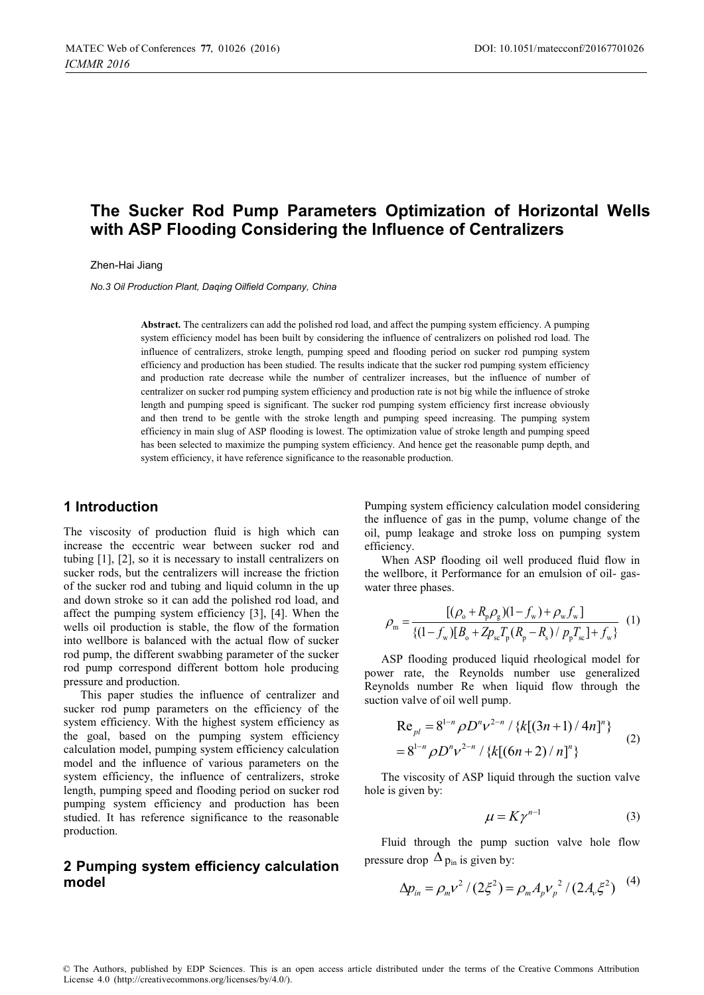# **The Sucker Rod Pump Parameters Optimization of Horizontal Wells with ASP Flooding Considering the Influence of Centralizers**

Zhen-Hai Jiang

*No.3 Oil Production Plant, Daqing Oilfield Company, China* 

**Abstract.** The centralizers can add the polished rod load, and affect the pumping system efficiency. A pumping system efficiency model has been built by considering the influence of centralizers on polished rod load. The influence of centralizers, stroke length, pumping speed and flooding period on sucker rod pumping system efficiency and production has been studied. The results indicate that the sucker rod pumping system efficiency and production rate decrease while the number of centralizer increases, but the influence of number of centralizer on sucker rod pumping system efficiency and production rate is not big while the influence of stroke length and pumping speed is significant. The sucker rod pumping system efficiency first increase obviously and then trend to be gentle with the stroke length and pumping speed increasing. The pumping system efficiency in main slug of ASP flooding is lowest. The optimization value of stroke length and pumping speed has been selected to maximize the pumping system efficiency. And hence get the reasonable pump depth, and system efficiency, it have reference significance to the reasonable production.

#### **1 Introduction**

The viscosity of production fluid is high which can increase the eccentric wear between sucker rod and tubing [1], [2], so it is necessary to install centralizers on sucker rods, but the centralizers will increase the friction of the sucker rod and tubing and liquid column in the up and down stroke so it can add the polished rod load, and affect the pumping system efficiency [3], [4]. When the wells oil production is stable, the flow of the formation into wellbore is balanced with the actual flow of sucker rod pump, the different swabbing parameter of the sucker rod pump correspond different bottom hole producing pressure and production.

This paper studies the influence of centralizer and sucker rod pump parameters on the efficiency of the system efficiency. With the highest system efficiency as the goal, based on the pumping system efficiency calculation model, pumping system efficiency calculation model and the influence of various parameters on the system efficiency, the influence of centralizers, stroke length, pumping speed and flooding period on sucker rod pumping system efficiency and production has been studied. It has reference significance to the reasonable production.

## **2 Pumping system efficiency calculation model**

Pumping system efficiency calculation model considering the influence of gas in the pump, volume change of the oil, pump leakage and stroke loss on pumping system efficiency.

When ASP flooding oil well produced fluid flow in the wellbore, it Performance for an emulsion of oil- gaswater three phases.

$$
\rho_{\rm m} = \frac{[(\rho_{\rm o} + R_{\rm p}\rho_{\rm g})(1 - f_{\rm w}) + \rho_{\rm w}f_{\rm w}]}{\{(1 - f_{\rm w})[B_{\rm o} + Zp_{\rm sc}T_{\rm p}(R_{\rm p} - R_{\rm s}) / p_{\rm p}T_{\rm sc}] + f_{\rm w}\}} \tag{1}
$$

ASP flooding produced liquid rheological model for power rate, the Reynolds number use generalized Reynolds number Re when liquid flow through the suction valve of oil well pump.

Re<sub>pl</sub> = 
$$
8^{1-n} \rho D^{n} v^{2-n} / \{k[(3n+1)/4n]^{n}\}
$$
  
=  $8^{1-n} \rho D^{n} v^{2-n} / \{k[(6n+2)/n]^{n}\}$  (2)

The viscosity of ASP liquid through the suction valve hole is given by:

$$
\mu = K\gamma^{n-1} \tag{3}
$$

Fluid through the pump suction valve hole flow pressure drop  $\Delta$  p<sub>in</sub> is given by:

$$
\Delta p_{in} = \rho_m v^2 / (2\xi^2) = \rho_m A_p v_p^2 / (2A_v \xi^2)^{(4)}
$$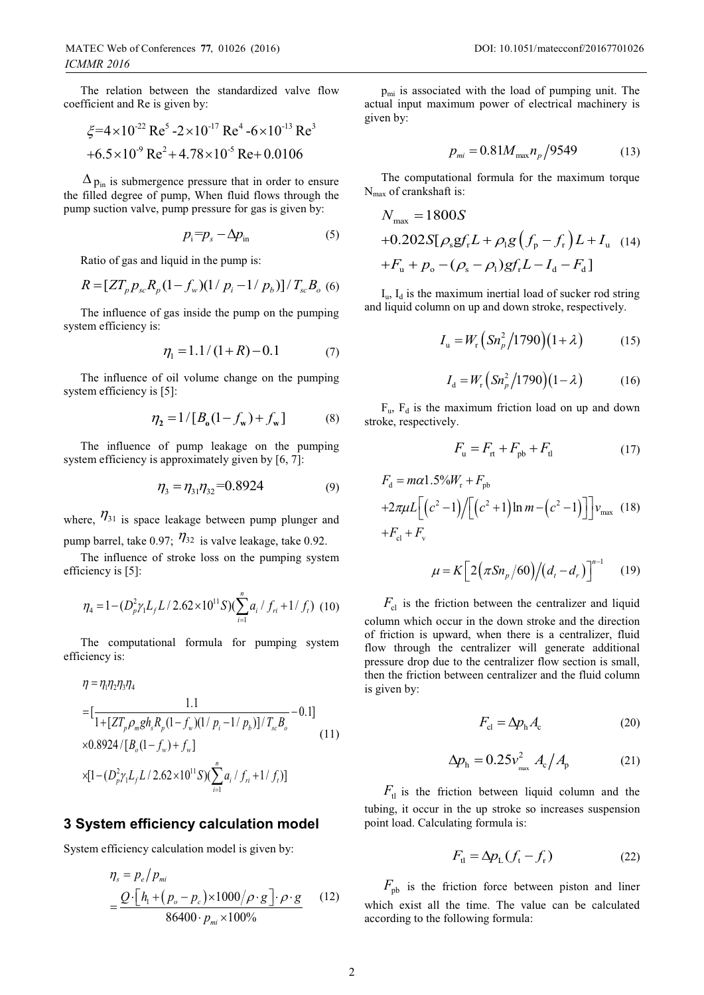The relation between the standardized valve flow coefficient and Re is given by:

$$
\xi=4\times10^{-22} \text{Re}^5 - 2\times10^{-17} \text{Re}^4 - 6\times10^{-13} \text{Re}^3
$$
  
+6.5×10<sup>-9</sup> Re<sup>2</sup>+4.78×10<sup>-5</sup> Re+0.0106

 $\Delta p_{\text{in}}$  is submergence pressure that in order to ensure the filled degree of pump, When fluid flows through the pump suction valve, pump pressure for gas is given by:

$$
p_{\rm i} = p_s - \Delta p_{\rm in} \tag{5}
$$

Ratio of gas and liquid in the pump is:

$$
R = [ZT_p p_{sc} R_p (1 - f_w)(1 / p_i - 1 / p_b)] / T_{sc} B_o
$$
 (6)

The influence of gas inside the pump on the pumping system efficiency is:

$$
\eta_1 = 1.1/(1+R) - 0.1\tag{7}
$$

The influence of oil volume change on the pumping system efficiency is [5]:

$$
\eta_2 = 1/[B_0(1 - f_w) + f_w]
$$
 (8)

The influence of pump leakage on the pumping system efficiency is approximately given by [6, 7]:

$$
\eta_3 = \eta_{31}\eta_{32} = 0.8924\tag{9}
$$

where,  $\eta_{31}$  is space leakage between pump plunger and pump barrel, take 0.97;  $\eta_{32}$  is valve leakage, take 0.92.

The influence of stroke loss on the pumping system efficiency is [5]:

$$
\eta_4 = 1 - \left(D_p^2 \gamma_1 L_f L / 2.62 \times 10^{11} S\right) \left(\sum_{i=1}^n a_i / f_{ri} + 1 / f_t\right) (10)
$$

The computational formula for pumping system efficiency is:

$$
\eta = \eta_1 \eta_2 \eta_3 \eta_4
$$
  
\n
$$
= [\frac{1.1}{1 + [ZT_p \rho_m gh_s R_p (1 - f_w)(1 / p_i - 1 / p_b)] / T_{sc} B_o} - 0.1]
$$
  
\n
$$
\times 0.8924 / [B_o (1 - f_w) + f_w]
$$
  
\n
$$
\times [1 - (D_p^2 \gamma_1 L_f L / 2.62 \times 10^{11} S) (\sum_{i=1}^n a_i / f_{ri} + 1 / f_i)]
$$
\n(11)

#### **3 System efficiency calculation model**

System efficiency calculation model is given by:

$$
\eta_s = p_e / p_{mi}
$$
  
= 
$$
\frac{Q \cdot [h_1 + (p_o - p_c) \times 1000 / \rho \cdot g] \cdot \rho \cdot g}{86400 \cdot p_{mi} \times 100\%}
$$
 (12)

 $p<sub>mi</sub>$  is associated with the load of pumping unit. The actual input maximum power of electrical machinery is given by:

$$
p_{mi} = 0.81 M_{\text{max}} n_p / 9549 \tag{13}
$$

The computational formula for the maximum torque N<sub>max</sub> of crankshaft is:

$$
N_{\text{max}} = 1800S
$$
  
+0.202S[ $\rho_s gf_r L + \rho_1 g (f_p - f_r)L + I_u$  (14)  
+ $F_u + p_o - (\rho_s - \rho_1)gf_r L - I_d - F_d$ ]

 $I_{u}$ ,  $I_{d}$  is the maximum inertial load of sucker rod string and liquid column on up and down stroke, respectively.

$$
I_{\rm u} = W_{\rm r} \left( S n_p^2 / 1790 \right) \left( 1 + \lambda \right) \tag{15}
$$

$$
I_{\rm d} = W_{\rm r} \left( S n_p^2 / 1790 \right) \left( 1 - \lambda \right) \tag{16}
$$

 $F_{u}$ ,  $F_{d}$  is the maximum friction load on up and down stroke, respectively.

$$
F_{\rm u} = F_{\rm rt} + F_{\rm pb} + F_{\rm tl} \tag{17}
$$

$$
F_{\rm d} = m\alpha 1.5\% W_{\rm r} + F_{\rm pb}
$$
  
+2\pi\mu L \left[ \left( c^2 - 1 \right) / \left[ \left( c^2 + 1 \right) \ln m - \left( c^2 - 1 \right) \right] \right] v\_{\rm max} \quad (18)  
+F\_{\rm cl} + F\_{\rm v}

$$
\mu = K \Big[ 2 \Big( \pi S n_p / 60 \Big) / \Big( d_t - d_r \Big) \Big]^{n-1} \tag{19}
$$

 $F<sub>cl</sub>$  is the friction between the centralizer and liquid column which occur in the down stroke and the direction of friction is upward, when there is a centralizer, fluid flow through the centralizer will generate additional pressure drop due to the centralizer flow section is small, then the friction between centralizer and the fluid column is given by:

$$
F_{\rm cl} = \Delta p_{\rm h} A_{\rm c} \tag{20}
$$

$$
\Delta p_{\rm h} = 0.25 v_{\rm max}^2 A_{\rm c} / A_{\rm p} \tag{21}
$$

 $F<sub>tl</sub>$  is the friction between liquid column and the tubing, it occur in the up stroke so increases suspension point load. Calculating formula is:

$$
F_{\rm tl} = \Delta p_{\rm L} (f_{\rm t} - f_{\rm r}) \tag{22}
$$

 $F_{\text{nb}}$  is the friction force between piston and liner which exist all the time. The value can be calculated according to the following formula: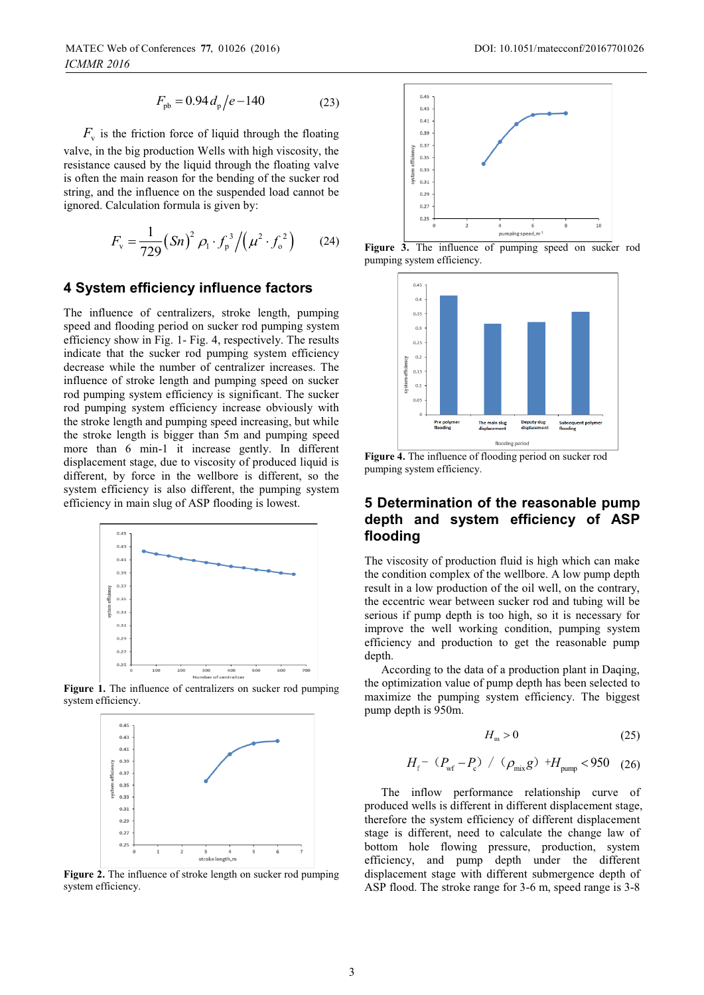$$
F_{\rm pb} = 0.94 \, d_{\rm p} / e - 140 \tag{23}
$$

 $F_{\rm v}$  is the friction force of liquid through the floating valve, in the big production Wells with high viscosity, the resistance caused by the liquid through the floating valve is often the main reason for the bending of the sucker rod string, and the influence on the suspended load cannot be ignored. Calculation formula is given by:

$$
F_{\rm v} = \frac{1}{729} \left( S n \right)^2 \rho_{\rm l} \cdot f_{\rm p}^3 / \left( \mu^2 \cdot f_{\rm o}^2 \right) \qquad (24)
$$

### **4 System efficiency influence factors**

The influence of centralizers, stroke length, pumping speed and flooding period on sucker rod pumping system efficiency show in Fig. 1- Fig. 4, respectively. The results indicate that the sucker rod pumping system efficiency decrease while the number of centralizer increases. The influence of stroke length and pumping speed on sucker rod pumping system efficiency is significant. The sucker rod pumping system efficiency increase obviously with the stroke length and pumping speed increasing, but while the stroke length is bigger than 5m and pumping speed more than 6 min-1 it increase gently. In different displacement stage, due to viscosity of produced liquid is different, by force in the wellbore is different, so the system efficiency is also different, the pumping system efficiency in main slug of ASP flooding is lowest.



system efficiency.



**Figure 2.** The influence of stroke length on sucker rod pumping system efficiency.



Figure 3. The influence of pumping speed on sucker rod pumping system efficiency.



**Figure 4.** The influence of flooding period on sucker rod pumping system efficiency.

## **5 Determination of the reasonable pump depth and system efficiency of ASP flooding**

The viscosity of production fluid is high which can make the condition complex of the wellbore. A low pump depth result in a low production of the oil well, on the contrary, the eccentric wear between sucker rod and tubing will be serious if pump depth is too high, so it is necessary for improve the well working condition, pumping system efficiency and production to get the reasonable pump depth.

According to the data of a production plant in Daqing, the optimization value of pump depth has been selected to maximize the pumping system efficiency. The biggest pump depth is 950m.

$$
H_{\rm m} > 0 \tag{25}
$$

$$
H_{\rm f} - (P_{\rm wf} - P_{\rm c}) / (\rho_{\rm mix} g) + H_{\rm pump} < 950 \quad (26)
$$

The inflow performance relationship curve of produced wells is different in different displacement stage, therefore the system efficiency of different displacement stage is different, need to calculate the change law of bottom hole flowing pressure, production, system efficiency, and pump depth under the different displacement stage with different submergence depth of ASP flood. The stroke range for 3-6 m, speed range is 3-8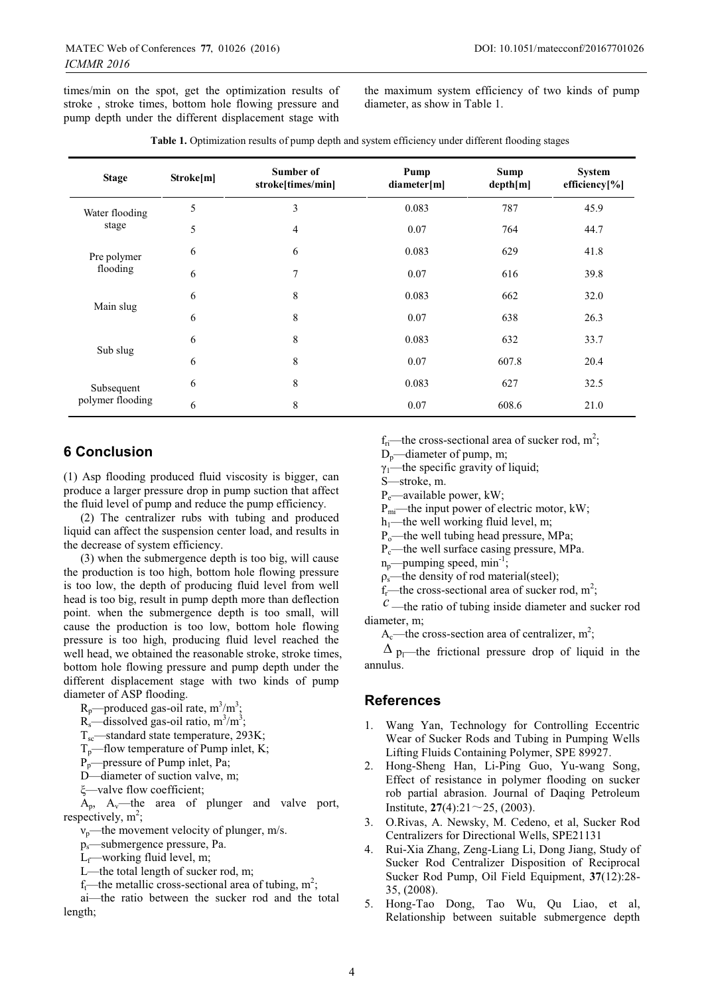times/min on the spot, get the optimization results of stroke , stroke times, bottom hole flowing pressure and pump depth under the different displacement stage with the maximum system efficiency of two kinds of pump diameter, as show in Table 1.

|  | Table 1. Optimization results of pump depth and system efficiency under different flooding stages |  |
|--|---------------------------------------------------------------------------------------------------|--|
|--|---------------------------------------------------------------------------------------------------|--|

| <b>Stage</b>                   | Stroke[m] | <b>Sumber of</b><br>stroke[times/min] | Pump<br>diameter[m] | Sump<br>depth[m] | <b>System</b><br>efficiency[%] |
|--------------------------------|-----------|---------------------------------------|---------------------|------------------|--------------------------------|
| Water flooding<br>stage        | 5         | 3                                     | 0.083               | 787              | 45.9                           |
|                                | 5         | 4                                     | 0.07                | 764              | 44.7                           |
| Pre polymer<br>flooding        | 6         | 6                                     | 0.083               | 629              | 41.8                           |
|                                | 6         | $\tau$                                | 0.07                | 616              | 39.8                           |
| Main slug                      | 6         | 8                                     | 0.083               | 662              | 32.0                           |
|                                | 6         | 8                                     | 0.07                | 638              | 26.3                           |
| Sub slug                       | 6         | 8                                     | 0.083               | 632              | 33.7                           |
|                                | 6         | 8                                     | 0.07                | 607.8            | 20.4                           |
| Subsequent<br>polymer flooding | 6         | 8                                     | 0.083               | 627              | 32.5                           |
|                                | 6         | 8                                     | 0.07                | 608.6            | 21.0                           |

## **6 Conclusion**

(1) Asp flooding produced fluid viscosity is bigger, can produce a larger pressure drop in pump suction that affect the fluid level of pump and reduce the pump efficiency.

(2) The centralizer rubs with tubing and produced liquid can affect the suspension center load, and results in the decrease of system efficiency.

(3) when the submergence depth is too big, will cause the production is too high, bottom hole flowing pressure is too low, the depth of producing fluid level from well head is too big, result in pump depth more than deflection point. when the submergence depth is too small, will cause the production is too low, bottom hole flowing pressure is too high, producing fluid level reached the well head, we obtained the reasonable stroke, stroke times, bottom hole flowing pressure and pump depth under the different displacement stage with two kinds of pump diameter of ASP flooding.

 $R_p$ —produced gas-oil rate, m<sup>3</sup>/m<sup>3</sup>;

 $R_s$ —dissolved gas-oil ratio, m<sup>3</sup>/m<sup>3</sup>;

 $T_{\text{sc}}$ —standard state temperature, 293K;

 $T_p$ —flow temperature of Pump inlet, K;

- Pp—pressure of Pump inlet, Pa;
- D—diameter of suction valve, m;

ξ—valve flow coefficient;

 $A_p$ ,  $A_v$ —the area of plunger and valve port, respectively,  $m^2$ ;

 $v_p$ —the movement velocity of plunger, m/s.

ps—submergence pressure, Pa.

 $L_f$ —working fluid level, m;

L—the total length of sucker rod, m;

 $f_t$ —the metallic cross-sectional area of tubing, m<sup>2</sup>;

ai—the ratio between the sucker rod and the total length;

 $f_{ri}$ —the cross-sectional area of sucker rod, m<sup>2</sup>;

 $D_n$ —diameter of pump, m;

 $\gamma_1$ —the specific gravity of liquid;

S—stroke, m.

Pe—available power, kW;

 $P_{mi}$ —the input power of electric motor, kW;

 $h_1$ —the well working fluid level, m;

Po—the well tubing head pressure, MPa;

P<sub>c</sub>—the well surface casing pressure, MPa.

 $n_p$ —pumping speed, min<sup>-1</sup>;

 $\rho_s$ —the density of rod material(steel);

 $f_r$ —the cross-sectional area of sucker rod, m<sup>2</sup>;

 $c$  —the ratio of tubing inside diameter and sucker rod diameter, m;

A<sub>c</sub>—the cross-section area of centralizer, m<sup>2</sup>;

 $\Delta$  p<sub>l</sub>—the frictional pressure drop of liquid in the annulus.

### **References**

- 1. Wang Yan, Technology for Controlling Eccentric Wear of Sucker Rods and Tubing in Pumping Wells Lifting Fluids Containing Polymer, SPE 89927.
- 2. Hong-Sheng Han, Li-Ping Guo, Yu-wang Song, Effect of resistance in polymer flooding on sucker rob partial abrasion. Journal of Daqing Petroleum Institute,  $27(4):21 \sim 25$ , (2003).
- 3. O.Rivas, A. Newsky, M. Cedeno, et al, Sucker Rod Centralizers for Directional Wells, SPE21131
- 4. Rui-Xia Zhang, Zeng-Liang Li, Dong Jiang, Study of Sucker Rod Centralizer Disposition of Reciprocal Sucker Rod Pump, Oil Field Equipment, **37**(12):28- 35, (2008).
- 5. Hong-Tao Dong, Tao Wu, Qu Liao, et al, Relationship between suitable submergence depth